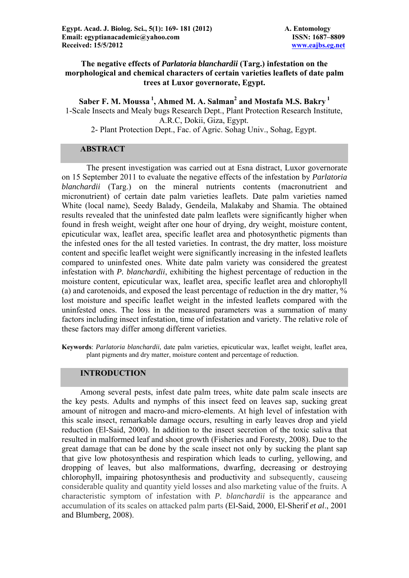# **The negative effects of** *Parlatoria blanchardii* **(Targ.) infestation on the morphological and chemical characters of certain varieties leaflets of date palm trees at Luxor governorate, Egypt.**

 ${\bf Saber\ F.\ M.\ Moussa\,1},$   ${\bf Ahmed\ M.\ A.\ Salman^2}$  and  ${\bf Mostafa\ M.\ S.\ Bakry\,1}$ 1-Scale Insects and Mealy bugs Research Dept., Plant Protection Research Institute, A.R.C, Dokii, Giza, Egypt. 2- Plant Protection Dept., Fac. of Agric. Sohag Univ., Sohag, Egypt.

## **ABSTRACT**

The present investigation was carried out at Esna distract, Luxor governorate on 15 September 2011 to evaluate the negative effects of the infestation by *Parlatoria blanchardii* (Targ.) on the mineral nutrients contents (macronutrient and micronutrient) of certain date palm varieties leaflets. Date palm varieties named White (local name), Seedy Balady, Gendeila, Malakaby and Shamia. The obtained results revealed that the uninfested date palm leaflets were significantly higher when found in fresh weight, weight after one hour of drying, dry weight, moisture content, epicuticular wax, leaflet area, specific leaflet area and photosynthetic pigments than the infested ones for the all tested varieties. In contrast, the dry matter, loss moisture content and specific leaflet weight were significantly increasing in the infested leaflets compared to uninfested ones. White date palm variety was considered the greatest infestation with *P. blanchardii*, exhibiting the highest percentage of reduction in the moisture content, epicuticular wax, leaflet area, specific leaflet area and chlorophyll (a) and carotenoids, and exposed the least percentage of reduction in the dry matter, % lost moisture and specific leaflet weight in the infested leaflets compared with the uninfested ones. The loss in the measured parameters was a summation of many factors including insect infestation, time of infestation and variety. The relative role of these factors may differ among different varieties.

**Keywords**: *Parlatoria blanchardii*, date palm varieties, epicuticular wax, leaflet weight, leaflet area, plant pigments and dry matter, moisture content and percentage of reduction.

## **INTRODUCTION**

Among several pests, infest date palm trees, white date palm scale insects are the key pests. Adults and nymphs of this insect feed on leaves sap, sucking great amount of nitrogen and macro-and micro-elements. At high level of infestation with this scale insect, remarkable damage occurs, resulting in early leaves drop and yield reduction (El-Said, 2000). In addition to the insect secretion of the toxic saliva that resulted in malformed leaf and shoot growth (Fisheries and Foresty, 2008). Due to the great damage that can be done by the scale insect not only by sucking the plant sap that give low photosynthesis and respiration which leads to curling, yellowing, and dropping of leaves, but also malformations, dwarfing, decreasing or destroying chlorophyll, impairing photosynthesis and productivity and subsequently, causeing considerable quality and quantity yield losses and also marketing value of the fruits. A characteristic symptom of infestation with *P. blanchardii* is the appearance and accumulation of its scales on attacked palm parts (El-Said, 2000, El-Sherif *et al*., 2001 and Blumberg, 2008).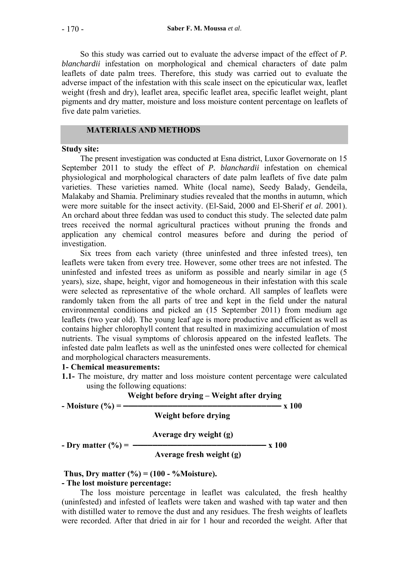So this study was carried out to evaluate the adverse impact of the effect of *P. blanchardii* infestation on morphological and chemical characters of date palm leaflets of date palm trees. Therefore, this study was carried out to evaluate the adverse impact of the infestation with this scale insect on the epicuticular wax, leaflet weight (fresh and dry), leaflet area, specific leaflet area, specific leaflet weight, plant pigments and dry matter, moisture and loss moisture content percentage on leaflets of five date palm varieties.

# **MATERIALS AND METHODS**

## **Study site:**

The present investigation was conducted at Esna district, Luxor Governorate on 15 September 2011 to study the effect of *P. blanchardii* infestation on chemical physiological and morphological characters of date palm leaflets of five date palm varieties. These varieties named. White (local name), Seedy Balady, Gendeila, Malakaby and Shamia. Preliminary studies revealed that the months in autumn, which were more suitable for the insect activity. (El-Said, 2000 and El-Sherif *et al*. 2001). An orchard about three feddan was used to conduct this study. The selected date palm trees received the normal agricultural practices without pruning the fronds and application any chemical control measures before and during the period of investigation.

Six trees from each variety (three uninfested and three infested trees), ten leaflets were taken from every tree. However, some other trees are not infested. The uninfested and infested trees as uniform as possible and nearly similar in age (5 years), size, shape, height, vigor and homogeneous in their infestation with this scale were selected as representative of the whole orchard. All samples of leaflets were randomly taken from the all parts of tree and kept in the field under the natural environmental conditions and picked an (15 September 2011) from medium age leaflets (two year old). The young leaf age is more productive and efficient as well as contains higher chlorophyll content that resulted in maximizing accumulation of most nutrients. The visual symptoms of chlorosis appeared on the infested leaflets. The infested date palm leaflets as well as the uninfested ones were collected for chemical and morphological characters measurements.

## **1- Chemical measurements:**

**1.1-** The moisture, dry matter and loss moisture content percentage were calculated using the following equations:

|                        | Weight before drying – Weight after drying |       |  |  |  |  |  |  |  |
|------------------------|--------------------------------------------|-------|--|--|--|--|--|--|--|
| - Moisture $(\% )$ =   | Weight before drying                       | x 100 |  |  |  |  |  |  |  |
|                        | Average dry weight (g)                     |       |  |  |  |  |  |  |  |
| - Dry matter $(\% )$ = | Average fresh weight (g)                   | x 100 |  |  |  |  |  |  |  |

## **Thus, Dry matter (%) = (100 - %Moisture).**

## **- The lost moisture percentage:**

 The loss moisture percentage in leaflet was calculated, the fresh healthy (uninfested) and infested of leaflets were taken and washed with tap water and then with distilled water to remove the dust and any residues. The fresh weights of leaflets were recorded. After that dried in air for 1 hour and recorded the weight. After that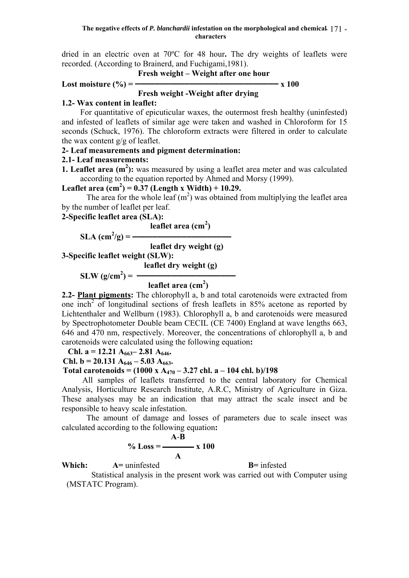dried in an electric oven at 70ºC for 48 hour**.** The dry weights of leaflets were recorded. (According to Brainerd, and Fuchigami,1981).

 **Fresh weight – Weight after one hour** 

$$
Cost moisture (%) =
$$
\n
$$
Tresh weight - Weight after drying
$$

# **1.2- Wax content in leaflet:**

For quantitative of epicuticular waxes, the outermost fresh healthy (uninfested) and infested of leaflets of similar age were taken and washed in Chloroform for 15 seconds (Schuck, 1976). The chloroform extracts were filtered in order to calculate the wax content g/g of leaflet.

# **2- Leaf measurements and pigment determination:**

# **2.1- Leaf measurements:**

**1. Leaflet area**  $(m^2)$ **:** was measured by using a leaflet area meter and was calculated according to the equation reported by Ahmed and Morsy (1999).

**Leaflet area (cm<sup>2</sup> ) = 0.37 (Length x Width) + 10.29.**

The area for the whole leaf  $(m<sup>2</sup>)$  was obtained from multiplying the leaflet area by the number of leaflet per leaf.

**2-Specific leaflet area (SLA):** 

$$
1 \qquad \qquad \text{leaflet area (cm}^2)
$$

$$
SLA (cm2/g) =
$$

**leaflet dry weight (g)** 

**3-Specific leaflet weight (SLW):** 

 **leaflet dry weight (g)** 

 $SLW (g/cm^2) =$   $\frac{1}{2\pi}$ **leaflet area (cm<sup>2</sup>)** 

**2.2- Plant pigments:** The chlorophyll a, b and total carotenoids were extracted from one  $\overline{inch}^2$  of longitudinal sections of fresh leaflets in 85% acetone as reported by Lichtenthaler and Wellburn (1983). Chlorophyll a, b and carotenoids were measured by Spectrophotometer Double beam CECIL (CE 7400) England at wave lengths 663, 646 and 470 nm, respectively. Moreover, the concentrations of chlorophyll a, b and carotenoids were calculated using the following equation**:**

**Chl. a = 12.21 A663– 2.81 A646.**

**Chl. b = 20.131 A<sub>646</sub> – 5.03 A<sub>663</sub>.** 

## **Total carotenoids = (1000 x A<sub>470</sub> – 3.27 chl. a – 104 chl. b)/198**

 All samples of leaflets transferred to the central laboratory for Chemical Analysis, Horticulture Research Institute, A.R.C, Ministry of Agriculture in Giza. These analyses may be an indication that may attract the scale insect and be responsible to heavy scale infestation.

The amount of damage and losses of parameters due to scale insect was calculated according to the following equation**:** 

$$
\% Loss = \frac{A-B}{A} \times 100
$$

**Which:**  $A=$  uninfested **B**= infested

Statistical analysis in the present work was carried out with Computer using (MSTATC Program).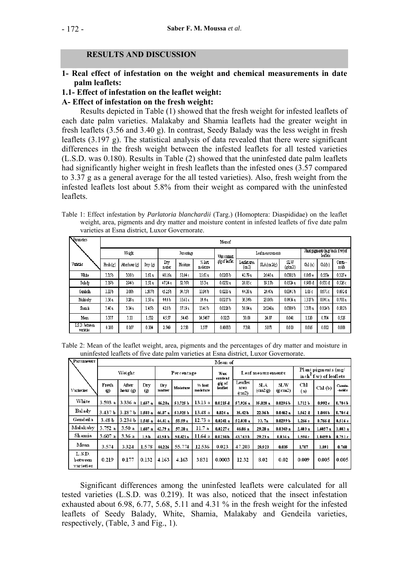# **RESULTS AND DISCUSSION**

# **1- Real effect of infestation on the weight and chemical measurements in date palm leaflets:**

## **1.1- Effect of infestation on the leaflet weight:**

## **A- Effect of infestation on the fresh weight:**

Results depicted in Table (1) showed that the fresh weight for infested leaflets of each date palm varieties. Malakaby and Shamia leaflets had the greater weight in fresh leaflets (3.56 and 3.40 g). In contrast, Seedy Balady was the less weight in fresh leaflets (3.197 g). The statistical analysis of data revealed that there were significant differences in the fresh weight between the infested leaflets for all tested varieties (L.S.D. was 0.180). Results in Table (2) showed that the uninfested date palm leaflets had significantly higher weight in fresh leaflets than the infested ones (3.57 compared to 3.37 g as a general average for the all tested varieties). Also, fresh weight from the infested leaflets lost about 5.8% from their weight as compared with the uninfested leaflets.

Table 1: Effect infestation by *Parlatoria blanchardii* (Targ.) (Homoptera: Diaspididae) on the leaflet weight, area, pigments and dry matter and moisture content in infested leaflets of five date palm varieties at Esna district, Luxor Governorate.

| Parameters                       | Mean of   |                   |         |               |          |                    |              |                        |                                             |               |         |         |                   |
|----------------------------------|-----------|-------------------|---------|---------------|----------|--------------------|--------------|------------------------|---------------------------------------------|---------------|---------|---------|-------------------|
|                                  | Weight    |                   |         | Percentage    |          |                    | Wax content. | Leaf measurements      | Part pigmerts (mg/ inch f.w) of<br>leaflets |               |         |         |                   |
| Varieties                        | Fresh (g) | Aterhox (g)       | Dry (g) | Dry<br>matter | Moisture | % lost<br>moisture | ggof laflet  | Leaflet area<br>(cm.2) | $SLA$ (cm $2(g)$ )                          | SLW<br>(z/m2) | Chl(a)  | Ch1(b)  | Carote--<br>noids |
| White                            | 3.35b     | 3.08b             | 161 a   | 48.16a        | 51.84 c  | 15.61a             | 0.0203b      | 42.79a                 | 26.48a                                      | 0.0382b       | 0.868 e | 0.553e  | 0327e             |
| Bahdy                            | 3.19b     | 294 <sub>b</sub>  | 151a    | 4724a         | 52.76b   | 153a               | 0.0232a      | 28.85 c                | 19.11b                                      | 0.0524a       | 0.988 d | 0 631 d | 0.526 c           |
| Gerdeila                         | 3.33 b    | 3.08 <sub>b</sub> | .907b   | 45.25b        | 54.75b   | 1396b              | 0.0235a      | 44.38 a                | 29.47a                                      | 0.0341b       | 1.05 c  | 0671c   | 0.492 d           |
| Mahkaby                          | 3.56 a    | 3.28a             | l 58 a  | 44.4b         | 5561a    | 14.4 a             | 0.0217b      | 3634b                  | 23.06b                                      | 0.0436a       | 13176   | 0841a   | 0.701a            |
| Shamh                            | 3.40 a    | 3.14a             | 1.45b   | 428b          | 57.19 a  | 13.45b             | 0.0228b      | 38.04 a                | 26241a                                      | 0.0389 b      | 1378 a  | 0.824b  | 0.382b            |
| Mean                             | 3377      | 3.11              | 1532    | 45.57         | 54.43    | 14 5 4 6 7         | 0.0223       | 38.08                  | 24.87                                       | 0.041         | 1.120   | 0.704   | 0.526             |
| LSD, between<br><b>varieties</b> | 0.180     | 0.167             | 0.104   | 2.749         | 2.758    | 1577               | 0.00033      | 7391                   | 5.073                                       | 0.010         | 0.016   | 0.012   | 0.008             |

Table 2: Mean of the leaflet weight, area, pigments and the percentages of dry matter and moisture in uninfested leaflets of five date palm varieties at Esna district, Luxor Governorate.

| Parameters                      |                      | Mean of            |                  |               |            |                     |                   |                                       |                       |                     |                                                                 |                     |                    |
|---------------------------------|----------------------|--------------------|------------------|---------------|------------|---------------------|-------------------|---------------------------------------|-----------------------|---------------------|-----------------------------------------------------------------|---------------------|--------------------|
|                                 | Weight               |                    |                  |               | Percentage |                     |                   | Leaf measurements                     |                       |                     | Plant pigments (mg/<br>$\operatorname{inch}^2$ f.w) of leaflets |                     |                    |
| Varieties                       | Fresh<br>$\circleds$ | After<br>hour (g)  | Dry<br>$\circ$   | Dry<br>matter | Moisture   | % lost<br>mo isture | g/g of<br>leaflet | Leaflet<br>area<br>(c <sub>m2</sub> ) | SLA<br>$\text{cm2/g}$ | SL W<br>(g/cm2)     | CЫ<br>(a)                                                       | Chl(b)              | Carote-<br>noids   |
| White                           | 3.593a               | 3.336 a            | 1.657a           | 46.28a        | 53.725 b   | 13.13 a             | 0.0215d           | 57.926 a                              | 35.028 a              | 0.0296 <sub>b</sub> | 1.712 <sub>b</sub>                                              | 0.992c              | 0.784 <sub>b</sub> |
| Balady                          | 3.437 <sub>b</sub>   | 3.187 <sub>b</sub> | 1.583a           | 46.07 a       | 53.925 b   | 13.48 a             | 0.024a            | 35.42b                                | 22.36 Ъ               | 0.0462a             | 1.562d                                                          | 1.044 <sub>b</sub>  | 0.704 d            |
| Gendeila                        | 3.48 <sub>b</sub>    | 3.234 b            | 1.545a           | 44.41 a       | 55.59 a    | 12.73a              | 0.0241a           | 52.038a                               | 33. Ta                | 0.0299 <sub>b</sub> | 1.266 e                                                         | 0.766 d             | 0.516e             |
| Malakaby                        | 3.752a               | 3.50a              | 1.607a           | 42.79 a       | 57.20 a    | 11.7 a              | 0.0227c           | 46.86 а                               | 29.28 a               | 0.0343a             | 2.403a                                                          | 1.6057a             | 1.083a             |
| Shamia                          | 3.607a               | 3.36a              | 1.5 <sub>b</sub> | 41.58 b       | 58.421a    | 11.64 a             | 0.0234h           | 43.763 Ъ                              | 29.23a                | 0.034a              | 1.594c                                                          | 1.0459 <sub>b</sub> | 0.751c             |
| Mean                            | 3.574                | 3.324              | 1.578            | 44.226        | 55.774     | 12.536              | 0.023             | 47.203                                | 29.923                | 0.035               | 1.707                                                           | 1.091               | 0.768              |
| L.S.D.<br>b etween<br>varieties | 0.219                | 0.177              | 0.132            | 4.163         | 4.163      | 3.831               | 0.0003            | 12.32                                 | 8.02                  | 0.02                | 0.009                                                           | 0.005               | 0.005              |

Significant differences among the uninfested leaflets were calculated for all tested varieties (L.S.D. was 0.219). It was also, noticed that the insect infestation exhausted about 6.98, 6.77, 5.68, 5.11 and 4.31 % in the fresh weight for the infested leaflets of Seedy Balady, White, Shamia, Malakaby and Gendeila varieties, respectively, (Table, 3 and Fig., 1).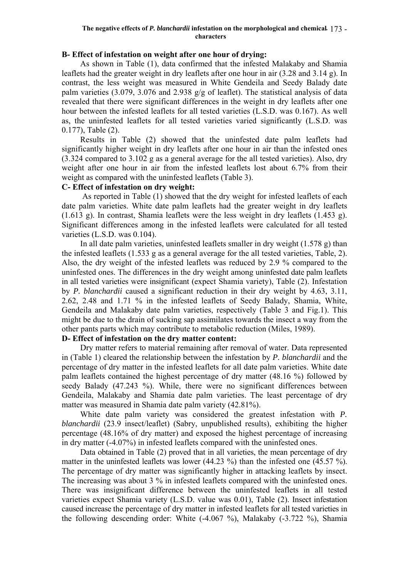#### **The negative effects of** *P. blanchardii* **infestation on the morphological and chemical**  - 173 **characters**

## **B- Effect of infestation on weight after one hour of drying:**

As shown in Table (1), data confirmed that the infested Malakaby and Shamia leaflets had the greater weight in dry leaflets after one hour in air (3.28 and 3.14 g). In contrast, the less weight was measured in White Gendeila and Seedy Balady date palm varieties (3.079, 3.076 and 2.938 g/g of leaflet). The statistical analysis of data revealed that there were significant differences in the weight in dry leaflets after one hour between the infested leaflets for all tested varieties (L.S.D. was 0.167). As well as, the uninfested leaflets for all tested varieties varied significantly (L.S.D. was 0.177), Table (2).

Results in Table (2) showed that the uninfested date palm leaflets had significantly higher weight in dry leaflets after one hour in air than the infested ones (3.324 compared to 3.102 g as a general average for the all tested varieties). Also, dry weight after one hour in air from the infested leaflets lost about 6.7% from their weight as compared with the uninfested leaflets (Table 3).

## **C- Effect of infestation on dry weight:**

 As reported in Table (1) showed that the dry weight for infested leaflets of each date palm varieties. White date palm leaflets had the greater weight in dry leaflets (1.613 g). In contrast, Shamia leaflets were the less weight in dry leaflets (1.453 g). Significant differences among in the infested leaflets were calculated for all tested varieties (L.S.D. was 0.104).

In all date palm varieties, uninfested leaflets smaller in dry weight (1.578 g) than the infested leaflets (1.533 g as a general average for the all tested varieties, Table, 2). Also, the dry weight of the infested leaflets was reduced by 2.9 % compared to the uninfested ones. The differences in the dry weight among uninfested date palm leaflets in all tested varieties were insignificant (expect Shamia variety), Table (2). Infestation by *P. blanchardii* caused a significant reduction in their dry weight by 4.63, 3.11, 2.62, 2.48 and 1.71 % in the infested leaflets of Seedy Balady, Shamia, White, Gendeila and Malakaby date palm varieties, respectively (Table 3 and Fig.1). This might be due to the drain of sucking sap assimilates towards the insect a way from the other pants parts which may contribute to metabolic reduction (Miles, 1989).

# **D- Effect of infestation on the dry matter content:**

Dry matter refers to material remaining after removal of water. Data represented in (Table 1) cleared the relationship between the infestation by *P. blanchardii* and the percentage of dry matter in the infested leaflets for all date palm varieties. White date palm leaflets contained the highest percentage of dry matter (48.16 %) followed by seedy Balady (47.243 %). While, there were no significant differences between Gendeila, Malakaby and Shamia date palm varieties. The least percentage of dry matter was measured in Shamia date palm variety (42.81%).

White date palm variety was considered the greatest infestation with *P. blanchardii* (23.9 insect/leaflet) (Sabry, unpublished results), exhibiting the higher percentage (48.16% of dry matter) and exposed the highest percentage of increasing in dry matter (-4.07%) in infested leaflets compared with the uninfested ones.

Data obtained in Table (2) proved that in all varieties, the mean percentage of dry matter in the uninfested leaflets was lower (44.23 %) than the infested one (45.57 %). The percentage of dry matter was significantly higher in attacking leaflets by insect. The increasing was about 3 % in infested leaflets compared with the uninfested ones. There was insignificant difference between the uninfested leaflets in all tested varieties expect Shamia variety (L.S.D. value was 0.01), Table (2). Insect infestation caused increase the percentage of dry matter in infested leaflets for all tested varieties in the following descending order: White (-4.067 %), Malakaby (-3.722 %), Shamia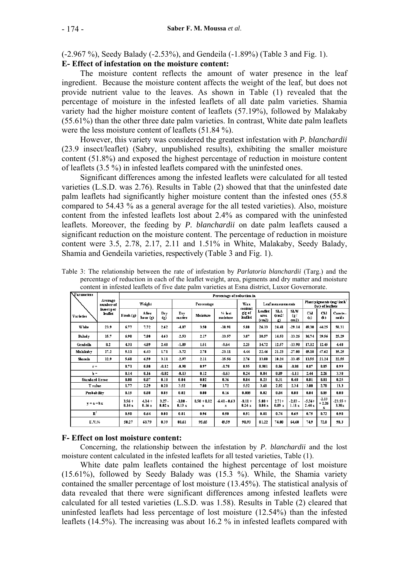(-2.967 %), Seedy Balady (-2.53%), and Gendeila (-1.89%) (Table 3 and Fig. 1).

# **E- Effect of infestation on the moisture content:**

The moisture content reflects the amount of water presence in the leaf ingredient. Because the moisture content affects the weight of the leaf, but does not provide nutrient value to the leaves. As shown in Table (1) revealed that the percentage of moisture in the infested leaflets of all date palm varieties. Shamia variety had the higher moisture content of leaflets (57.19%), followed by Malakaby (55.61%) than the other three date palm varieties. In contrast, White date palm leaflets were the less moisture content of leaflets (51.84 %).

However, this variety was considered the greatest infestation with *P. blanchardii* (23.9 insect/leaflet) (Sabry, unpublished results), exhibiting the smaller moisture content (51.8%) and exposed the highest percentage of reduction in moisture content of leaflets (3.5 %) in infested leaflets compared with the uninfested ones.

Significant differences among the infested leaflets were calculated for all tested varieties (L.S.D. was 2.76). Results in Table (2) showed that that the uninfested date palm leaflets had significantly higher moisture content than the infested ones (55.8 compared to 54.43 % as a general average for the all tested varieties). Also, moisture content from the infested leaflets lost about 2.4% as compared with the uninfested leaflets. Moreover, the feeding by *P. blanchardii* on date palm leaflets caused a significant reduction on the moisture content. The percentage of reduction in moisture content were 3.5, 2.78, 2.17, 2.11 and 1.51% in White, Malakaby, Seedy Balady, Shamia and Gendeila varieties, respectively (Table 3 and Fig. 1).

Table 3: The relationship between the rate of infestation by *Parlatoria blanchardii* (Targ.) and the percentage of reduction in each of the leaflet weight, area, pigments and dry matter and moisture content in infested leaflets of five date palm varieties at Esna district, Luxor Governorate.

| Parameters           |                       | Percentage of reduction in |                   |                                    |                            |                    |                          |                     |                                   |                                 |                                                           |                   |                         |                    |
|----------------------|-----------------------|----------------------------|-------------------|------------------------------------|----------------------------|--------------------|--------------------------|---------------------|-----------------------------------|---------------------------------|-----------------------------------------------------------|-------------------|-------------------------|--------------------|
| Average<br>number of | Weight                |                            |                   | Percentage                         |                            |                    | Wax<br>content           | Leaf measurements   |                                   |                                 | Plant pigments (mg/ inch <sup>2</sup><br>f.w) of leaflets |                   |                         |                    |
| Varieties            | insect per<br>leaflet | Fresh(g)                   | After<br>hour (g) | Dry<br>$\left( \mathbf{g} \right)$ | Dry<br>matter              | Moisture           | $%$ $ $ lost<br>moisture | g/g of<br>leaflet   | Leaflet<br>area<br>$\text{(cm2)}$ | SLA<br>(c <sub>m2</sub> )<br>g) | SLW<br>$(\mathbf{g})$<br>cm2)                             | CЫ<br>(a)         | <b>Chl</b><br>(b)       | Carote-<br>noids   |
| White                | 23.9                  | 6.77                       | 7.72              | 2.62                               | $-4.07$                    | 3.50               | $-18.91$                 | 5.88                | 26.13                             | 24.41                           | $-29.14$                                                  | 49.30             | 44.25                   | 58.31              |
| <b>Balady</b>        | 15.7                  | 6.98                       | 7.80              | 4.63                               | $-2.53$                    | 2.17               | $-13.57$                 | 3.07                | 18.57                             | 14.53                           | $-13.26$                                                  | 36.74             | 39.56                   | 25.29              |
| Gendeila             | 8.2                   | 431                        | 4.89              | 2.48                               | $-1.39$                    | 1.51               | $-9.64$                  | 2.25                | 14.72                             | 12.57                           | $-13.98$                                                  | 17.12             | 12.45                   | 4.48               |
| Ma lakab v           | 17.2                  | 5.11                       | 6.43              | 1.71                               | $-3.72$                    | 2.78               | $-23.11$                 | 4.44                | 22.46                             | 21.23                           | -27.08                                                    | 45.18             | 47.62                   | 35.25              |
| Shamia               | 12.9                  | 5.68                       | 6.59              | 3.11                               | $-2.97$                    | 2.11               | $-15.56$                 | 2.76                | 13.08                             | 10.24                           | $-13.45$                                                  | 13.55             | 21.24                   | 22.55              |
| $\mathbf{r} =$       |                       | 0.71                       | 0.80              | $-0.12$                            | $-0.90$                    | 0.97               | $-0.70$                  | 0.95                | 0.901                             | 0.86                            | $-0.80$                                                   | 0.87              | 0.85                    | 0.99               |
| $h =$                |                       | 0.14                       | 0.16              | $-0.02$                            | $-0.13$                    | 0.12               | $-0.63$                  | 0.24                | 0.84                              | 0.89                            | -1.11                                                     | 2.44              | 2.26                    | 3.38               |
| Standard Ermr        |                       | 0.08                       | 0.07              | 0.10                               | 0.04                       | 0.02               | 0.36                     | 0.04                | 0.23                              | 0.31                            | 0.48                                                      | 0.81              | 0.81                    | 0.25               |
| T value              |                       | 1.77                       | 2.29              | 0.20                               | 3.52                       | 7.00               | 1.72                     | 5.52                | 3.60                              | 2.92                            | 2.34                                                      | 3.00              | 2.78                    | 13.3               |
| Probability          |                       | 0.15                       | 0.08              | 0.85                               | 0.02                       | 0.00               | 0.16                     | 0.005               | 0.02                              | 0.04                            | 0.08                                                      | 0.04              | 0.05                    | 0.00               |
| $y = a + bx$         |                       | $3.56 +$<br>0.14x          | $4.14 +$<br>0.16x | $3.27 -$<br>0.02 x                 | $-1.00 -$<br>$0.13 \times$ | $0.50 + 0.12$<br>x | $-6.41 - 0.63$<br>x      | $-0.11 +$<br>0.24 x | $5.88 +$<br>0.84 x                | $2.71+$<br>0.89x                | $-2.03-$<br>1.11x                                         | $-5.56+$<br>2.44x | $-2.13$<br>$+2.26$<br>x | $23.55 +$<br>3.38x |
| $\mathbb{R}^2$       |                       | 0.50                       | 0.64              | 0.00                               | 0.81                       | 0.96               | 0.50                     | 0.91                | 0.81                              | 0.74                            | 0.65                                                      | 0.75              | 0.72                    | 0.98               |
| E.V.%                |                       | 50.27                      | 63.79             | 0.39                               | 80.61                      | 95.65              | 49.59                    | 90.93               | 81.22                             | 74.00                           | 64.60                                                     | 74.9              | 72.0                    | 98.3               |

## **F- Effect on lost moisture content:**

Concerning, the relationship between the infestation by *P. blanchardii* and the lost moisture content calculated in the infested leaflets for all tested varieties, Table (1).

White date palm leaflets contained the highest percentage of lost moisture (15.61%), followed by Seedy Balady was (15.3 %). While, the Shamia variety contained the smaller percentage of lost moisture (13.45%). The statistical analysis of data revealed that there were significant differences among infested leaflets were calculated for all tested varieties (L.S.D. was 1.58). Results in Table (2) cleared that uninfested leaflets had less percentage of lost moisture (12.54%) than the infested leaflets (14.5%). The increasing was about 16.2 % in infested leaflets compared with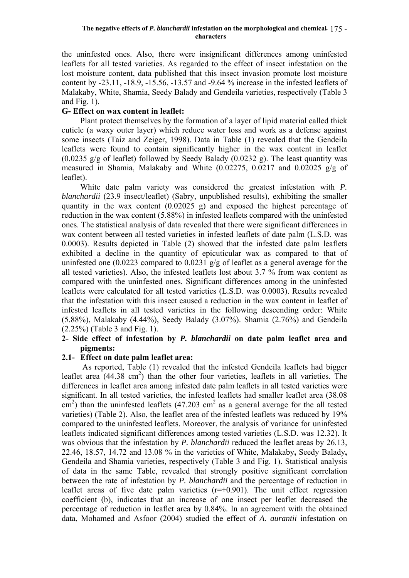the uninfested ones. Also, there were insignificant differences among uninfested leaflets for all tested varieties. As regarded to the effect of insect infestation on the lost moisture content, data published that this insect invasion promote lost moisture content by -23.11, -18.9, -15.56, -13.57 and -9.64 % increase in the infested leaflets of Malakaby, White, Shamia, Seedy Balady and Gendeila varieties, respectively (Table 3 and Fig. 1).

# **G- Effect on wax content in leaflet:**

Plant protect themselves by the formation of a layer of lipid material called thick cuticle (a waxy outer layer) which reduce water loss and work as a defense against some insects (Taiz and Zeiger, 1998). Data in Table (1) revealed that the Gendeila leaflets were found to contain significantly higher in the wax content in leaflet  $(0.0235 \text{ g/g of leaflet})$  followed by Seedy Balady  $(0.0232 \text{ g})$ . The least quantity was measured in Shamia, Malakaby and White (0.02275, 0.0217 and 0.02025 g/g of leaflet).

White date palm variety was considered the greatest infestation with *P. blanchardii* (23.9 insect/leaflet) (Sabry, unpublished results), exhibiting the smaller quantity in the wax content (0.02025 g) and exposed the highest percentage of reduction in the wax content (5.88%) in infested leaflets compared with the uninfested ones. The statistical analysis of data revealed that there were significant differences in wax content between all tested varieties in infested leaflets of date palm (L.S.D. was 0.0003). Results depicted in Table (2) showed that the infested date palm leaflets exhibited a decline in the quantity of epicuticular wax as compared to that of uninfested one (0.0223 compared to 0.0231 g/g of leaflet as a general average for the all tested varieties). Also, the infested leaflets lost about 3.7 % from wax content as compared with the uninfested ones. Significant differences among in the uninfested leaflets were calculated for all tested varieties (L.S.D. was 0.0003). Results revealed that the infestation with this insect caused a reduction in the wax content in leaflet of infested leaflets in all tested varieties in the following descending order: White (5.88%), Malakaby (4.44%), Seedy Balady (3.07%). Shamia (2.76%) and Gendeila (2.25%) (Table 3 and Fig. 1).

## **2- Side effect of infestation by** *P. blanchardii* **on date palm leaflet area and pigments:**

## **2.1- Effect on date palm leaflet area:**

 As reported, Table (1) revealed that the infested Gendeila leaflets had bigger leaflet area  $(44.38 \text{ cm}^2)$  than the other four varieties, leaflets in all varieties. The differences in leaflet area among infested date palm leaflets in all tested varieties were significant. In all tested varieties, the infested leaflets had smaller leaflet area (38.08  $\text{cm}^2$ ) than the uninfested leaflets (47.203 cm<sup>2</sup> as a general average for the all tested varieties) (Table 2). Also, the leaflet area of the infested leaflets was reduced by 19% compared to the uninfested leaflets. Moreover, the analysis of variance for uninfested leaflets indicated significant differences among tested varieties (L.S.D. was 12.32). It was obvious that the infestation by *P. blanchardii* reduced the leaflet areas by 26.13, 22.46, 18.57, 14.72 and 13.08 % in the varieties of White, Malakaby**,** Seedy Balady**,**  Gendeila and Shamia varieties, respectively (Table 3 and Fig. 1). Statistical analysis of data in the same Table, revealed that strongly positive significant correlation between the rate of infestation by *P. blanchardii* and the percentage of reduction in leaflet areas of five date palm varieties  $(r=+0.901)$ . The unit effect regression coefficient (b), indicates that an increase of one insect per leaflet decreased the percentage of reduction in leaflet area by 0.84%. In an agreement with the obtained data, Mohamed and Asfoor (2004) studied the effect of *A. aurantii* infestation on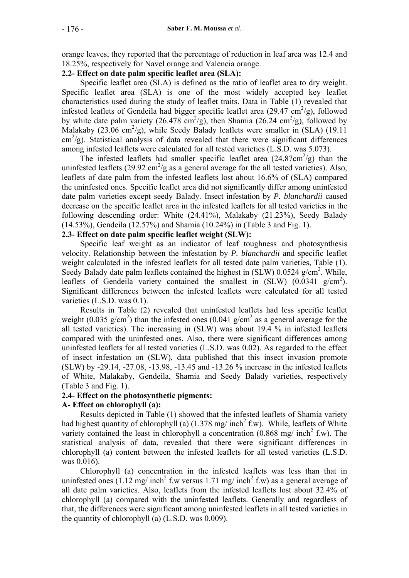orange leaves, they reported that the percentage of reduction in leaf area was 12.4 and 18.25%, respectively for Navel orange and Valencia orange.

## **2.2- Effect on date palm specific leaflet area (SLA):**

Specific leaflet area (SLA) is defined as the ratio of leaflet area to dry weight. Specific leaflet area (SLA) is one of the most widely accepted key leaflet characteristics used during the study of leaflet traits. Data in Table (1) revealed that infested leaflets of Gendeila had bigger specific leaflet area  $(29.47 \text{ cm}^2/\text{g})$ , followed by white date palm variety (26.478 cm<sup>2</sup>/g), then Shamia (26.24 cm<sup>2</sup>/g), followed by Malakaby  $(23.06 \text{ cm}^2/\text{g})$ , while Seedy Balady leaflets were smaller in (SLA) (19.11 cm<sup>2</sup>/g). Statistical analysis of data revealed that there were significant differences among infested leaflets were calculated for all tested varieties (L.S.D. was 5.073).

The infested leaflets had smaller specific leaflet area  $(24.87 \text{cm}^2/\text{g})$  than the uninfested leaflets  $(29.92 \text{ cm}^2/\text{g}$  as a general average for the all tested varieties). Also, leaflets of date palm from the infested leaflets lost about 16.6% of (SLA) compared the uninfested ones. Specific leaflet area did not significantly differ among uninfested date palm varieties except seedy Balady. Insect infestation by *P. blanchardii* caused decrease on the specific leaflet area in the infested leaflets for all tested varieties in the following descending order: White (24.41%), Malakaby (21.23%), Seedy Balady (14.53%), Gendeila (12.57%) and Shamia (10.24%) in (Table 3 and Fig. 1).

## **2.3- Effect on date palm specific leaflet weight (SLW):**

Specific leaf weight as an indicator of leaf toughness and photosynthesis velocity. Relationship between the infestation by *P. blanchardii* and specific leaflet weight calculated in the infested leaflets for all tested date palm varieties, Table (1). Seedy Balady date palm leaflets contained the highest in  $(SLW)$  0.0524 g/cm<sup>2</sup>. While, leaflets of Gendeila variety contained the smallest in  $(SLW)$   $(0.0341 \text{ g/cm}^2)$ . Significant differences between the infested leaflets were calculated for all tested varieties (L.S.D. was 0.1).

Results in Table (2) revealed that uninfested leaflets had less specific leaflet weight (0.035 g/cm<sup>2</sup>) than the infested ones (0.041 g/cm<sup>2</sup> as a general average for the all tested varieties). The increasing in (SLW) was about 19.4 % in infested leaflets compared with the uninfested ones. Also, there were significant differences among uninfested leaflets for all tested varieties (L.S.D. was 0.02). As regarded to the effect of insect infestation on (SLW), data published that this insect invasion promote (SLW) by -29.14, -27.08, -13.98, -13.45 and -13.26 % increase in the infested leaflets of White, Malakaby, Gendeila, Shamia and Seedy Balady varieties, respectively (Table 3 and Fig. 1).

## **2.4- Effect on the photosynthetic pigments:**

## **A- Effect on chlorophyll (a):**

Results depicted in Table (1) showed that the infested leaflets of Shamia variety had highest quantity of chlorophyll (a)  $(1.378 \text{ mg/ inch}^2 \text{ f.w})$ . While, leaflets of White variety contained the least in chlorophyll a concentration  $(0.868 \text{ mg}/ \text{ inch}^2 \text{ f.w})$ . The statistical analysis of data, revealed that there were significant differences in chlorophyll (a) content between the infested leaflets for all tested varieties (L.S.D. was 0.016).

Chlorophyll (a) concentration in the infested leaflets was less than that in uninfested ones (1.12 mg/ inch<sup>2</sup> f.w versus 1.71 mg/ inch<sup>2</sup> f.w) as a general average of all date palm varieties. Also, leaflets from the infested leaflets lost about 32.4% of chlorophyll (a) compared with the uninfested leaflets. Generally and regardless of that, the differences were significant among uninfested leaflets in all tested varieties in the quantity of chlorophyll (a) (L.S.D. was 0.009).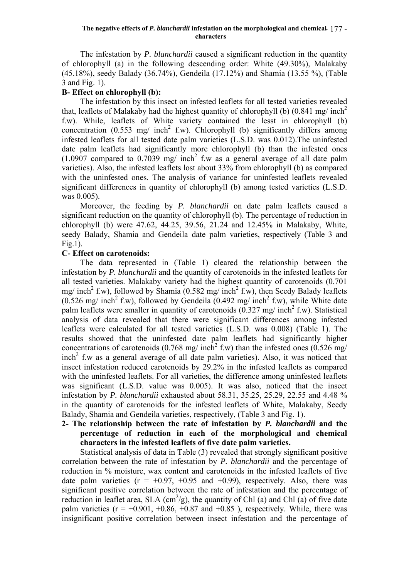#### **The negative effects of** *P. blanchardii* **infestation on the morphological and chemical**  - 177 **characters**

The infestation by *P. blanchardii* caused a significant reduction in the quantity of chlorophyll (a) in the following descending order: White (49.30%), Malakaby (45.18%), seedy Balady (36.74%), Gendeila (17.12%) and Shamia (13.55 %), (Table 3 and Fig. 1).

## **B- Effect on chlorophyll (b):**

The infestation by this insect on infested leaflets for all tested varieties revealed that, leaflets of Malakaby had the highest quantity of chlorophyll (b)  $(0.841 \text{ mg/ inch}^2)$ f.w). While, leaflets of White variety contained the lesst in chlorophyll (b) concentration  $(0.553 \text{ mg}/ \text{inch}^2 \text{ f.w})$ . Chlorophyll (b) significantly differs among infested leaflets for all tested date palm varieties (L.S.D. was 0.012).The uninfested date palm leaflets had significantly more chlorophyll (b) than the infested ones  $(1.0907$  compared to 0.7039 mg/ inch<sup>2</sup> f.w as a general average of all date palm varieties). Also, the infested leaflets lost about 33% from chlorophyll (b) as compared with the uninfested ones. The analysis of variance for uninfested leaflets revealed significant differences in quantity of chlorophyll (b) among tested varieties (L.S.D. was 0.005).

Moreover, the feeding by *P. blanchardii* on date palm leaflets caused a significant reduction on the quantity of chlorophyll (b). The percentage of reduction in chlorophyll (b) were 47.62, 44.25, 39.56, 21.24 and 12.45% in Malakaby, White, seedy Balady, Shamia and Gendeila date palm varieties, respectively (Table 3 and Fig.1).

## **C- Effect on carotenoids:**

The data represented in (Table 1) cleared the relationship between the infestation by *P. blanchardii* and the quantity of carotenoids in the infested leaflets for all tested varieties. Malakaby variety had the highest quantity of carotenoids (0.701 mg/ inch<sup>2</sup> f.w), followed by Shamia (0.582 mg/ inch<sup>2</sup> f.w), then Seedy Balady leaflets  $(0.526 \text{ mg/ inch}^2 \text{ f.w})$ , followed by Gendeila  $(0.492 \text{ mg/ inch}^2 \text{ f.w})$ , while White date palm leaflets were smaller in quantity of carotenoids  $(0.327 \text{ mg/ inch}^2 \text{ f.w})$ . Statistical analysis of data revealed that there were significant differences among infested leaflets were calculated for all tested varieties (L.S.D. was 0.008) (Table 1). The results showed that the uninfested date palm leaflets had significantly higher concentrations of carotenoids (0.768 mg/ inch<sup>2</sup> f.w) than the infested ones (0.526 mg/ inch<sup>2</sup> f.w as a general average of all date palm varieties). Also, it was noticed that insect infestation reduced carotenoids by 29.2% in the infested leaflets as compared with the uninfested leaflets. For all varieties, the difference among uninfested leaflets was significant (L.S.D. value was 0.005). It was also, noticed that the insect infestation by *P. blanchardii* exhausted about 58.31, 35.25, 25.29, 22.55 and 4.48 % in the quantity of carotenoids for the infested leaflets of White, Malakaby, Seedy Balady, Shamia and Gendeila varieties, respectively, (Table 3 and Fig. 1).

# **2- The relationship between the rate of infestation by** *P. blanchardii* **and the percentage of reduction in each of the morphological and chemical characters in the infested leaflets of five date palm varieties.**

 Statistical analysis of data in Table (3) revealed that strongly significant positive correlation between the rate of infestation by *P. blanchardii* and the percentage of reduction in % moisture, wax content and carotenoids in the infested leaflets of five date palm varieties  $(r = +0.97, +0.95, and +0.99)$ , respectively. Also, there was significant positive correlation between the rate of infestation and the percentage of reduction in leaflet area, SLA  $\text{(cm}^2/\text{g)}$ , the quantity of Chl (a) and Chl (a) of five date palm varieties  $(r = +0.901, +0.86, +0.87,$  and  $+0.85$ ), respectively. While, there was insignificant positive correlation between insect infestation and the percentage of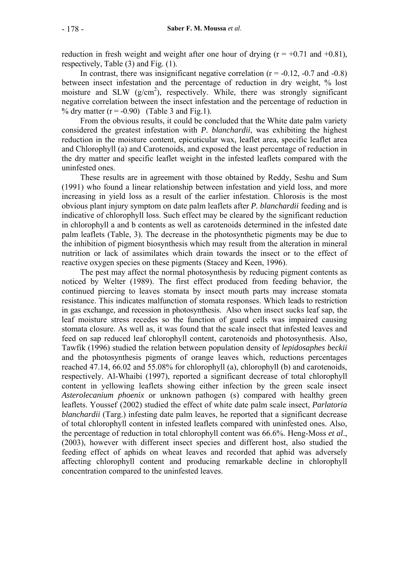reduction in fresh weight and weight after one hour of drying  $(r = +0.71$  and  $+0.81)$ , respectively, Table (3) and Fig. (1).

In contrast, there was insignificant negative correlation  $(r = -0.12, -0.7$  and  $-0.8)$ between insect infestation and the percentage of reduction in dry weight, % lost moisture and SLW  $(g/cm^2)$ , respectively. While, there was strongly significant negative correlation between the insect infestation and the percentage of reduction in % dry matter  $(r = -0.90)$  (Table 3 and Fig.1).

 From the obvious results, it could be concluded that the White date palm variety considered the greatest infestation with *P. blanchardii*, was exhibiting the highest reduction in the moisture content, epicuticular wax, leaflet area, specific leaflet area and Chlorophyll (a) and Carotenoids, and exposed the least percentage of reduction in the dry matter and specific leaflet weight in the infested leaflets compared with the uninfested ones.

 These results are in agreement with those obtained by Reddy, Seshu and Sum (1991) who found a linear relationship between infestation and yield loss, and more increasing in yield loss as a result of the earlier infestation. Chlorosis is the most obvious plant injury symptom on date palm leaflets after *P. blanchardii* feeding and is indicative of chlorophyll loss. Such effect may be cleared by the significant reduction in chlorophyll a and b contents as well as carotenoids determined in the infested date palm leaflets (Table, 3). The decrease in the photosynthetic pigments may be due to the inhibition of pigment biosynthesis which may result from the alteration in mineral nutrition or lack of assimilates which drain towards the insect or to the effect of reactive oxygen species on these pigments (Stacey and Keen, 1996).

 The pest may affect the normal photosynthesis by reducing pigment contents as noticed by Welter (1989). The first effect produced from feeding behavior, the continued piercing to leaves stomata by insect mouth parts may increase stomata resistance. This indicates malfunction of stomata responses. Which leads to restriction in gas exchange, and recession in photosynthesis. Also when insect sucks leaf sap, the leaf moisture stress recedes so the function of guard cells was impaired causing stomata closure. As well as, it was found that the scale insect that infested leaves and feed on sap reduced leaf chlorophyll content, carotenoids and photosynthesis. Also, Tawfik (1996) studied the relation between population density of *lepidosaphes beckii* and the photosynthesis pigments of orange leaves which, reductions percentages reached 47.14, 66.02 and 55.08% for chlorophyll (a), chlorophyll (b) and carotenoids, respectively. Al-Whaibi (1997), reported a significant decrease of total chlorophyll content in yellowing leaflets showing either infection by the green scale insect *Asterolecanium phoenix* or unknown pathogen (s) compared with healthy green leaflets. Youssef (2002) studied the effect of white date palm scale insect, *Parlatoria blanchardii* (Targ.) infesting date palm leaves, he reported that a significant decrease of total chlorophyll content in infested leaflets compared with uninfested ones. Also, the percentage of reduction in total chlorophyll content was 66.6%. Heng-Moss *et al*., (2003), however with different insect species and different host, also studied the feeding effect of aphids on wheat leaves and recorded that aphid was adversely affecting chlorophyll content and producing remarkable decline in chlorophyll concentration compared to the uninfested leaves.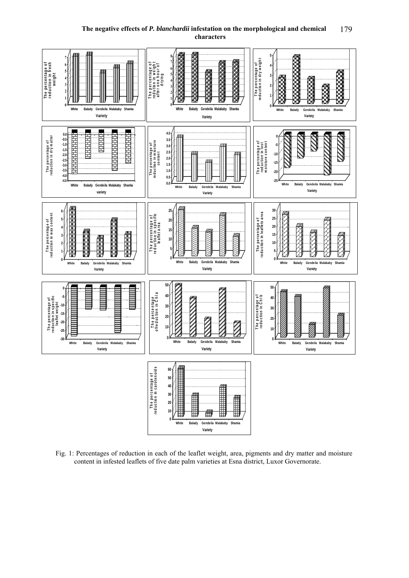#### **The negative effects of** *P. blanchardii* **infestation on the morphological and chemical characters** 179



Fig. 1: Percentages of reduction in each of the leaflet weight, area, pigments and dry matter and moisture content in infested leaflets of five date palm varieties at Esna district, Luxor Governorate.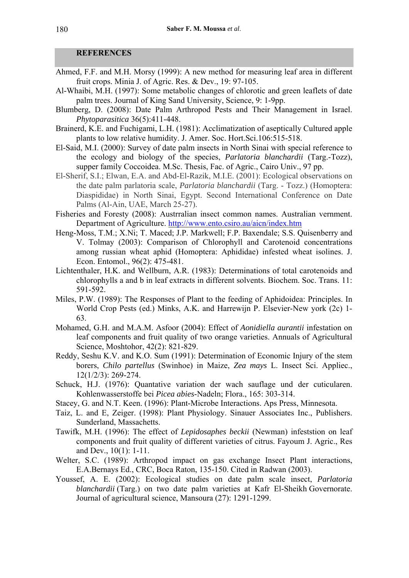#### **REFERENCES**

- Ahmed, F.F. and M.H. Morsy (1999): A new method for measuring leaf area in different fruit crops. Minia J. of Agric. Res. & Dev., 19: 97-105.
- Al-Whaibi, M.H. (1997): Some metabolic changes of chlorotic and green leaflets of date palm trees. Journal of King Sand University, Science, 9: 1-9pp.
- Blumberg, D. (2008): Date Palm Arthropod Pests and Their Management in Israel. *Phytoparasitica* 36(5):411-448.
- Brainerd, K.E. and Fuchigami, L.H. (1981): Acclimatization of aseptically Cultured apple plants to low relative humidity. J. Amer. Soc. Hort.Sci.106:515-518.
- El-Said, M.I. (2000): Survey of date palm insects in North Sinai with special reference to the ecology and biology of the species, *Parlatoria blanchardii* (Targ.-Tozz), supper family Coccoidea. M.Sc. Thesis, Fac. of Agric., Cairo Univ., 97 pp.
- El-Sherif, S.I.; Elwan, E.A. and Abd-El-Razik, M.I.E. (2001): Ecological observations on the date palm parlatoria scale, *Parlatoria blanchardii* (Targ. - Tozz.) (Homoptera: Diaspididae) in North Sinai, Egypt. Second International Conference on Date Palms (Al-Ain, UAE, March 25-27).
- Fisheries and Foresty (2008): Austrralian insect common names. Australian vernment. Department of Agriculture. http://www.ento.csiro.au/aicn/index.htm
- Heng-Moss, T.M.; X.Ni; T. Maced; J.P. Markwell; F.P. Baxendale; S.S. Quisenberry and V. Tolmay (2003): Comparison of Chlorophyll and Carotenoid concentrations among russian wheat aphid (Homoptera: Aphididae) infested wheat isolines. J. Econ. Entomol., 96(2): 475-481.
- Lichtenthaler, H.K. and Wellburn, A.R. (1983): Determinations of total carotenoids and chlorophylls a and b in leaf extracts in different solvents. Biochem. Soc. Trans. 11: 591-592.
- Miles, P.W. (1989): The Responses of Plant to the feeding of Aphidoidea: Principles. In World Crop Pests (ed.) Minks, A.K. and Harrewijn P. Elsevier-New york (2c) 1- 63.
- Mohamed, G.H. and M.A.M. Asfoor (2004): Effect of *Aonidiella aurantii* infestation on leaf components and fruit quality of two orange varieties. Annuals of Agricultural Science, Moshtohor, 42(2): 821-829.
- Reddy, Seshu K.V. and K.O. Sum (1991): Determination of Economic Injury of the stem borers, *Chilo partellus* (Swinhoe) in Maize, *Zea mays* L. Insect Sci. Appliec., 12(1/2/3): 269-274.
- Schuck, H.J. (1976): Quantative variation der wach sauflage und der cuticularen. Kohlenwasserstoffe bei *Picea abies*-Nadeln; Flora., 165: 303-314.
- Stacey, G. and N.T. Keen. (1996): Plant-Microbe Interactions. Aps Press, Minnesota.
- Taiz, L. and E, Zeiger. (1998): Plant Physiology. Sinauer Associates Inc., Publishers. Sunderland, Massachetts.
- Tawifk, M.H. (1996): The effect of *Lepidosaphes beckii* (Newman) infeststion on leaf components and fruit quality of different varieties of citrus. Fayoum J. Agric., Res and Dev., 10(1): 1-11.
- Welter, S.C. (1989): Arthropod impact on gas exchange Insect Plant interactions, E.A.Bernays Ed., CRC, Boca Raton, 135-150. Cited in Radwan (2003).
- Youssef, A. E. (2002): Ecological studies on date palm scale insect, *Parlatoria blanchardii* (Targ.) on two date palm varieties at Kafr El-Sheikh Governorate. Journal of agricultural science, Mansoura (27): 1291-1299.